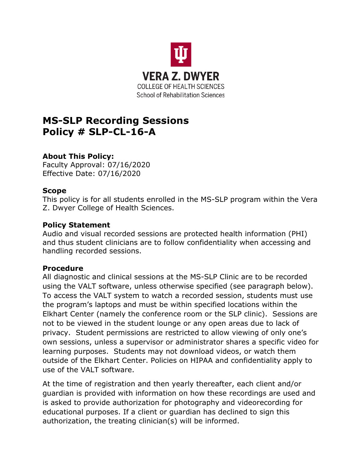

# **MS-SLP Recording Sessions Policy # SLP-CL-16-A**

## **About This Policy:**

Faculty Approval: 07/16/2020 Effective Date: 07/16/2020

### **Scope**

This policy is for all students enrolled in the MS-SLP program within the Vera Z. Dwyer College of Health Sciences.

#### **Policy Statement**

Audio and visual recorded sessions are protected health information (PHI) and thus student clinicians are to follow confidentiality when accessing and handling recorded sessions.

### **Procedure**

All diagnostic and clinical sessions at the MS-SLP Clinic are to be recorded using the VALT software, unless otherwise specified (see paragraph below). To access the VALT system to watch a recorded session, students must use the program's laptops and must be within specified locations within the Elkhart Center (namely the conference room or the SLP clinic). Sessions are not to be viewed in the student lounge or any open areas due to lack of privacy. Student permissions are restricted to allow viewing of only one's own sessions, unless a supervisor or administrator shares a specific video for learning purposes. Students may not download videos, or watch them outside of the Elkhart Center. Policies on HIPAA and confidentiality apply to use of the VALT software.

At the time of registration and then yearly thereafter, each client and/or guardian is provided with information on how these recordings are used and is asked to provide authorization for photography and videorecording for educational purposes. If a client or guardian has declined to sign this authorization, the treating clinician(s) will be informed.